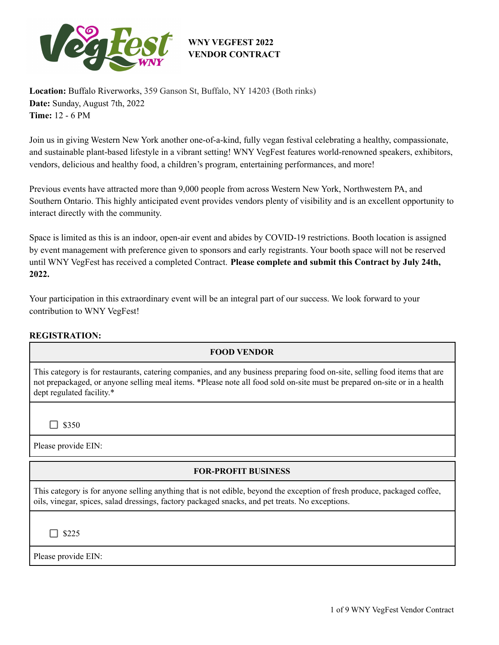

**Location:** Buffalo Riverworks, 359 Ganson St, Buffalo, NY 14203 (Both rinks) **Date:** Sunday, August 7th, 2022 **Time:** 12 - 6 PM

Join us in giving Western New York another one-of-a-kind, fully vegan festival celebrating a healthy, compassionate, and sustainable plant-based lifestyle in a vibrant setting! WNY VegFest features world-renowned speakers, exhibitors, vendors, delicious and healthy food, a children's program, entertaining performances, and more!

Previous events have attracted more than 9,000 people from across Western New York, Northwestern PA, and Southern Ontario. This highly anticipated event provides vendors plenty of visibility and is an excellent opportunity to interact directly with the community.

Space is limited as this is an indoor, open-air event and abides by COVID-19 restrictions. Booth location is assigned by event management with preference given to sponsors and early registrants. Your booth space will not be reserved until WNY VegFest has received a completed Contract. **Please complete and submit this Contract by July 24th, 2022.**

Your participation in this extraordinary event will be an integral part of our success. We look forward to your contribution to WNY VegFest!

### **REGISTRATION:**

### **FOOD VENDOR**

This category is for restaurants, catering companies, and any business preparing food on-site, selling food items that are not prepackaged, or anyone selling meal items. \*Please note all food sold on-site must be prepared on-site or in a health dept regulated facility.\*

 $\Box$  \$350

Please provide EIN:

## **FOR-PROFIT BUSINESS**

This category is for anyone selling anything that is not edible, beyond the exception of fresh produce, packaged coffee, oils, vinegar, spices, salad dressings, factory packaged snacks, and pet treats. No exceptions.

 $\Box$  \$225

Please provide EIN: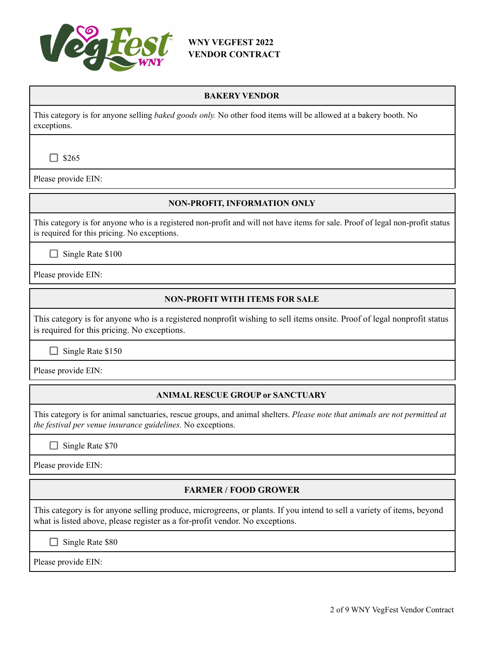

#### **BAKERY VENDOR**

This category is for anyone selling *baked goods only.* No other food items will be allowed at a bakery booth. No exceptions.

 $\Box$  \$265

Please provide EIN:

#### **NON-PROFIT, INFORMATION ONLY**

This category is for anyone who is a registered non-profit and will not have items for sale. Proof of legal non-profit status is required for this pricing. No exceptions.

 $\Box$  Single Rate \$100

Please provide EIN:

#### **NON-PROFIT WITH ITEMS FOR SALE**

This category is for anyone who is a registered nonprofit wishing to sell items onsite. Proof of legal nonprofit status is required for this pricing. No exceptions.

 $\Box$  Single Rate \$150

Please provide EIN:

### **ANIMAL RESCUE GROUP or SANCTUARY**

This category is for animal sanctuaries, rescue groups, and animal shelters. *Please note that animals are not permitted at the festival per venue insurance guidelines.* No exceptions.

 $\Box$  Single Rate \$70

Please provide EIN:

### **FARMER / FOOD GROWER**

This category is for anyone selling produce, microgreens, or plants. If you intend to sell a variety of items, beyond what is listed above, please register as a for-profit vendor. No exceptions.

Single Rate \$80

Please provide EIN: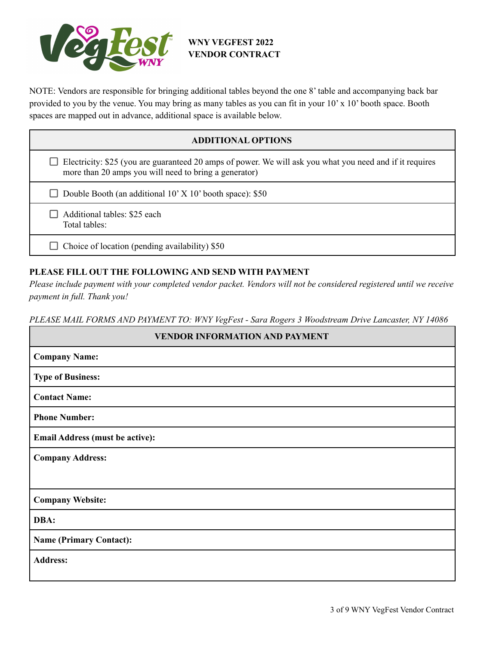

NOTE: Vendors are responsible for bringing additional tables beyond the one 8' table and accompanying back bar provided to you by the venue. You may bring as many tables as you can fit in your 10' x 10' booth space. Booth spaces are mapped out in advance, additional space is available below.

## **ADDITIONAL OPTIONS**

 $\Box$  Electricity: \$25 (you are guaranteed 20 amps of power. We will ask you what you need and if it requires more than 20 amps you will need to bring a generator)

Double Booth (an additional  $10'$  X  $10'$  booth space): \$50

 $\Box$  Additional tables: \$25 each Total tables:

 $\Box$  Choice of location (pending availability) \$50

#### **PLEASE FILL OUT THE FOLLOWING AND SEND WITH PAYMENT**

Please include payment with your completed vendor packet. Vendors will not be considered registered until we receive *payment in full. Thank you!*

*PLEASE MAIL FORMS AND PAYMENT TO: WNY VegFest - Sara Rogers 3 Woodstream Drive Lancaster, NY 14086*

| <b>VENDOR INFORMATION AND PAYMENT</b>  |  |  |  |
|----------------------------------------|--|--|--|
| <b>Company Name:</b>                   |  |  |  |
| <b>Type of Business:</b>               |  |  |  |
| <b>Contact Name:</b>                   |  |  |  |
| <b>Phone Number:</b>                   |  |  |  |
| <b>Email Address (must be active):</b> |  |  |  |
| <b>Company Address:</b>                |  |  |  |
|                                        |  |  |  |
| <b>Company Website:</b>                |  |  |  |
| DBA:                                   |  |  |  |
| <b>Name (Primary Contact):</b>         |  |  |  |
| <b>Address:</b>                        |  |  |  |
|                                        |  |  |  |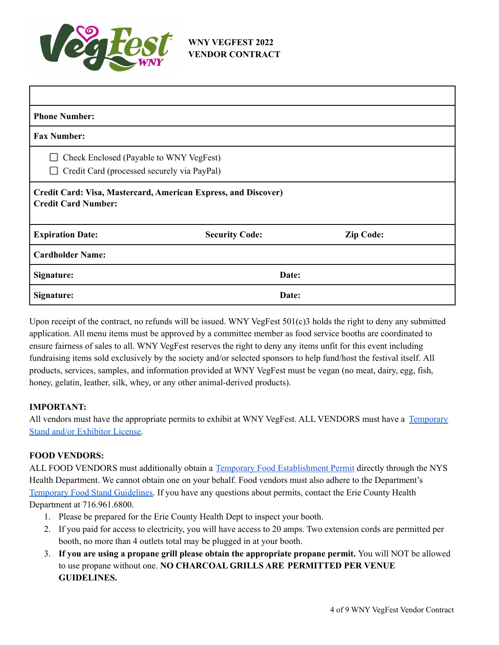

| <b>Phone Number:</b>                                                                         |                       |                  |  |
|----------------------------------------------------------------------------------------------|-----------------------|------------------|--|
| <b>Fax Number:</b>                                                                           |                       |                  |  |
| Check Enclosed (Payable to WNY VegFest)<br>Credit Card (processed securely via PayPal)<br>ΙI |                       |                  |  |
| Credit Card: Visa, Mastercard, American Express, and Discover)<br><b>Credit Card Number:</b> |                       |                  |  |
| <b>Expiration Date:</b>                                                                      | <b>Security Code:</b> | <b>Zip Code:</b> |  |
| <b>Cardholder Name:</b>                                                                      |                       |                  |  |
| Signature:                                                                                   |                       | Date:            |  |
| Signature:                                                                                   |                       | Date:            |  |

Upon receipt of the contract, no refunds will be issued. WNY VegFest 501(c)3 holds the right to deny any submitted application. All menu items must be approved by a committee member as food service booths are coordinated to ensure fairness of sales to all. WNY VegFest reserves the right to deny any items unfit for this event including fundraising items sold exclusively by the society and/or selected sponsors to help fund/host the festival itself. All products, services, samples, and information provided at WNY VegFest must be vegan (no meat, dairy, egg, fish, honey, gelatin, leather, silk, whey, or any other animal-derived products).

#### **IMPORTANT:**

All vendors must have the appropriate permits to exhibit at WNY VegFest. ALL VENDORS must have a [Temporary](https://www.buffalony.gov/DocumentCenter/View/8490/Special-Event-Appl-for-License) Stand and/or [Exhibitor](https://www.buffalony.gov/DocumentCenter/View/8490/Special-Event-Appl-for-License) License.

#### **FOOD VENDORS:**

ALL FOOD VENDORS must additionally obtain a Temporary Food [Establishment](https://www2.erie.gov/health/sites/www2.erie.gov.health/files/uploads/pdfs/temp_food_service_establishment.pdf) Permit directly through the NYS Health Department. We cannot obtain one on your behalf. Food vendors must also adhere to the Department's [Temporary](https://www2.erie.gov/health/sites/www2.erie.gov.health/files/uploads/pdfs/GUIDELINES_FOR_TEMPORARY_FOOD_STANDS.pdf) Food Stand Guidelines. If you have any questions about permits, contact the Erie County Health Department at 716.961.6800.

- 1. Please be prepared for the Erie County Health Dept to inspect your booth.
- 2. If you paid for access to electricity, you will have access to 20 amps. Two extension cords are permitted per booth, no more than 4 outlets total may be plugged in at your booth.
- 3. **If you are using a propane grill please obtain the appropriate propane permit.** You will NOT be allowed to use propane without one. **NO CHARCOAL GRILLS ARE PERMITTED PER VENUE GUIDELINES.**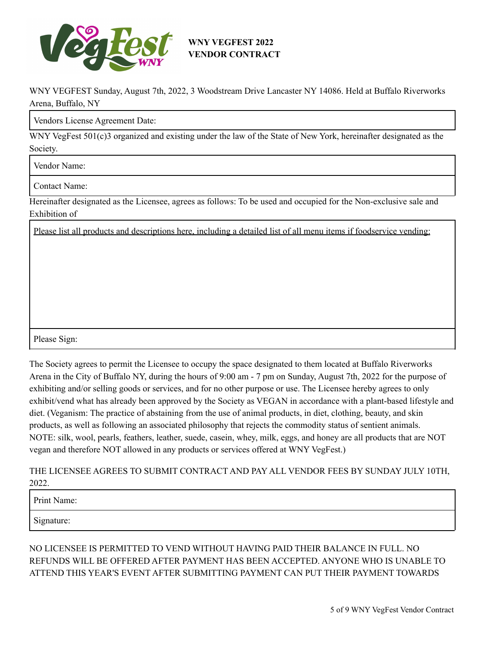

WNY VEGFEST Sunday, August 7th, 2022, 3 Woodstream Drive Lancaster NY 14086. Held at Buffalo Riverworks Arena, Buffalo, NY

Vendors License Agreement Date:

WNY VegFest 501(c)3 organized and existing under the law of the State of New York, hereinafter designated as the Society.

Vendor Name:

Contact Name:

Hereinafter designated as the Licensee, agrees as follows: To be used and occupied for the Non-exclusive sale and Exhibition of

Please list all products and descriptions here, including a detailed list of all menu items if foodservice vending:

Please Sign:

The Society agrees to permit the Licensee to occupy the space designated to them located at Buffalo Riverworks Arena in the City of Buffalo NY, during the hours of 9:00 am - 7 pm on Sunday, August 7th, 2022 for the purpose of exhibiting and/or selling goods or services, and for no other purpose or use. The Licensee hereby agrees to only exhibit/vend what has already been approved by the Society as VEGAN in accordance with a plant-based lifestyle and diet. (Veganism: The practice of abstaining from the use of animal products, in diet, clothing, beauty, and skin products, as well as following an associated philosophy that rejects the commodity status of sentient animals. NOTE: silk, wool, pearls, feathers, leather, suede, casein, whey, milk, eggs, and honey are all products that are NOT vegan and therefore NOT allowed in any products or services offered at WNY VegFest.)

THE LICENSEE AGREES TO SUBMIT CONTRACT AND PAY ALL VENDOR FEES BY SUNDAY JULY 10TH, 2022.

Print Name:

Signature:

NO LICENSEE IS PERMITTED TO VEND WITHOUT HAVING PAID THEIR BALANCE IN FULL. NO REFUNDS WILL BE OFFERED AFTER PAYMENT HAS BEEN ACCEPTED. ANYONE WHO IS UNABLE TO ATTEND THIS YEAR'S EVENT AFTER SUBMITTING PAYMENT CAN PUT THEIR PAYMENT TOWARDS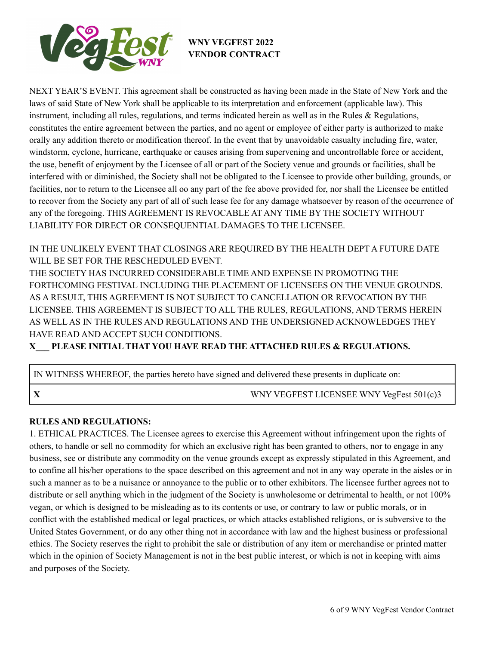

NEXT YEAR'S EVENT. This agreement shall be constructed as having been made in the State of New York and the laws of said State of New York shall be applicable to its interpretation and enforcement (applicable law). This instrument, including all rules, regulations, and terms indicated herein as well as in the Rules & Regulations, constitutes the entire agreement between the parties, and no agent or employee of either party is authorized to make orally any addition thereto or modification thereof. In the event that by unavoidable casualty including fire, water, windstorm, cyclone, hurricane, earthquake or causes arising from supervening and uncontrollable force or accident, the use, benefit of enjoyment by the Licensee of all or part of the Society venue and grounds or facilities, shall be interfered with or diminished, the Society shall not be obligated to the Licensee to provide other building, grounds, or facilities, nor to return to the Licensee all oo any part of the fee above provided for, nor shall the Licensee be entitled to recover from the Society any part of all of such lease fee for any damage whatsoever by reason of the occurrence of any of the foregoing. THIS AGREEMENT IS REVOCABLE AT ANY TIME BY THE SOCIETY WITHOUT LIABILITY FOR DIRECT OR CONSEQUENTIAL DAMAGES TO THE LICENSEE.

IN THE UNLIKELY EVENT THAT CLOSINGS ARE REQUIRED BY THE HEALTH DEPT A FUTURE DATE WILL BE SET FOR THE RESCHEDULED EVENT.

THE SOCIETY HAS INCURRED CONSIDERABLE TIME AND EXPENSE IN PROMOTING THE FORTHCOMING FESTIVAL INCLUDING THE PLACEMENT OF LICENSEES ON THE VENUE GROUNDS. AS A RESULT, THIS AGREEMENT IS NOT SUBJECT TO CANCELLATION OR REVOCATION BY THE LICENSEE. THIS AGREEMENT IS SUBJECT TO ALL THE RULES, REGULATIONS, AND TERMS HEREIN AS WELL AS IN THE RULES AND REGULATIONS AND THE UNDERSIGNED ACKNOWLEDGES THEY HAVE READ AND ACCEPT SUCH CONDITIONS.

**X\_\_\_ PLEASE INITIAL THAT YOU HAVE READ THE ATTACHED RULES & REGULATIONS.**

IN WITNESS WHEREOF, the parties hereto have signed and delivered these presents in duplicate on:

**X** WNY VEGFEST LICENSEE WNY VegFest 501(c)3

### **RULES AND REGULATIONS:**

1. ETHICAL PRACTICES. The Licensee agrees to exercise this Agreement without infringement upon the rights of others, to handle or sell no commodity for which an exclusive right has been granted to others, nor to engage in any business, see or distribute any commodity on the venue grounds except as expressly stipulated in this Agreement, and to confine all his/her operations to the space described on this agreement and not in any way operate in the aisles or in such a manner as to be a nuisance or annoyance to the public or to other exhibitors. The licensee further agrees not to distribute or sell anything which in the judgment of the Society is unwholesome or detrimental to health, or not  $100\%$ vegan, or which is designed to be misleading as to its contents or use, or contrary to law or public morals, or in conflict with the established medical or legal practices, or which attacks established religions, or is subversive to the United States Government, or do any other thing not in accordance with law and the highest business or professional ethics. The Society reserves the right to prohibit the sale or distribution of any item or merchandise or printed matter which in the opinion of Society Management is not in the best public interest, or which is not in keeping with aims and purposes of the Society.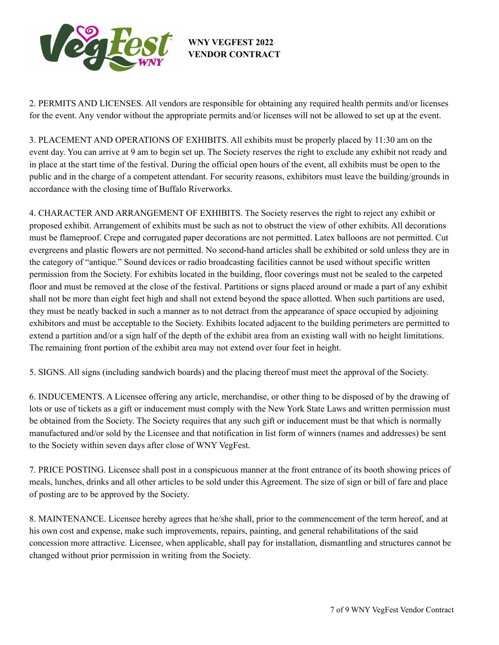

2. PERMITS AND LICENSES. All vendors are responsible for obtaining any required health permits and/or licenses for the event. Any vendor without the appropriate permits and/or licenses will not be allowed to set up at the event.

3. PLACEMENT AND OPERATIONS OF EXHIBITS. All exhibits must be properly placed by 11:30 am on the event day. You can arrive at 9 am to begin set up. The Society reserves the right to exclude any exhibit not ready and in place at the start time of the festival. During the official open hours of the event, all exhibits must be open to the public and in the charge of a competent attendant. For security reasons, exhibitors must leave the building/grounds in accordance with the closing time of Buffalo Riverworks.

4. CHARACTER AND ARRANGEMENT OF EXHIBITS. The Society reserves the right to reject any exhibit or proposed exhibit. Arrangement of exhibits must be such as not to obstruct the view of other exhibits. All decorations must be flameproof. Crepe and corrugated paper decorations are not permitted. Latex balloons are not permitted. Cut evergreens and plastic flowers are not permitted. No second-hand articles shall be exhibited or sold unless they are in the category of "antique." Sound devices or radio broadcasting facilities cannot be used without specific written permission from the Society. For exhibits located in the building, floor coverings must not be sealed to the carpeted floor and must be removed at the close of the festival. Partitions or signs placed around or made a part of any exhibit shall not be more than eight feet high and shall not extend beyond the space allotted. When such partitions are used, they must be neatly backed in such a manner as to not detract from the appearance of space occupied by adjoining exhibitors and must be acceptable to the Society. Exhibits located adjacent to the building perimeters are permitted to extend a partition and/or a sign half of the depth of the exhibit area from an existing wall with no height limitations. The remaining front portion of the exhibit area may not extend over four feet in height.

5. SIGNS. All signs (including sandwich boards) and the placing thereof must meet the approval of the Society.

6. INDUCEMENTS. A Licensee offering any article, merchandise, or other thing to be disposed of by the drawing of lots or use of tickets as a gift or inducement must comply with the New York State Laws and written permission must be obtained from the Society. The Society requires that any such gift or inducement must be that which is normally manufactured and/or sold by the Licensee and that notification in list form of winners (names and addresses) be sent to the Society within seven days after close of WNY VegFest.

7. PRICE POSTING. Licensee shall post in a conspicuous manner at the front entrance of its booth showing prices of meals, lunches, drinks and all other articles to be sold under this Agreement. The size of sign or bill of fare and place of posting are to be approved by the Society.

8. MAINTENANCE. Licensee hereby agrees that he/she shall, prior to the commencement of the term hereof, and at his own cost and expense, make such improvements, repairs, painting, and general rehabilitations of the said concession more attractive. Licensee, when applicable, shall pay for installation, dismantling and structures cannot be changed without prior permission in writing from the Society.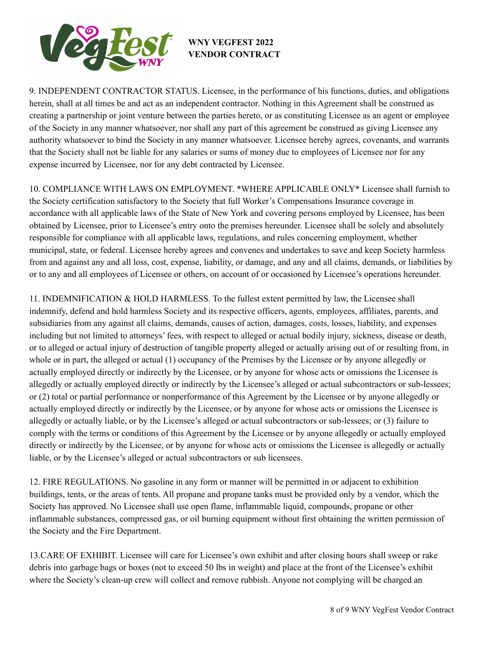

9. INDEPENDENT CONTRACTOR STATUS. Licensee, in the performance of his functions, duties, and obligations herein, shall at all times be and act as an independent contractor. Nothing in this Agreement shall be construed as creating a partnership or joint venture between the parties hereto, or as constituting Licensee as an agent or employee of the Society in any manner whatsoever, nor shall any part of this agreement be construed as giving Licensee any authority whatsoever to bind the Society in any manner whatsoever. Licensee hereby agrees, covenants, and warrants that the Society shall not be liable for any salaries or sums of money due to employees of Licensee nor for any expense incurred by Licensee, nor for any debt contracted by Licensee.

10. COMPLIANCE WITH LAWS ON EMPLOYMENT. \*WHERE APPLICABLE ONLY\* Licensee shall furnish to the Society certification satisfactory to the Society that full Worker's Compensations Insurance coverage in accordance with all applicable laws of the State of New York and covering persons employed by Licensee, has been obtained by Licensee, prior to Licensee's entry onto the premises hereunder. Licensee shall be solely and absolutely responsible for compliance with all applicable laws, regulations, and rules concerning employment, whether municipal, state, or federal. Licensee hereby agrees and convenes and undertakes to save and keep Society harmless from and against any and all loss, cost, expense, liability, or damage, and any and all claims, demands, or liabilities by or to any and all employees of Licensee or others, on account of or occasioned by Licensee's operations hereunder.

11. INDEMNIFICATION & HOLD HARMLESS. To the fullest extent permitted by law, the Licensee shall indemnify, defend and hold harmless Society and its respective officers, agents, employees, affiliates, parents, and subsidiaries from any against all claims, demands, causes of action, damages, costs, losses, liability, and expenses including but not limited to attorneys' fees, with respect to alleged or actual bodily injury, sickness, disease or death, or to alleged or actual injury of destruction of tangible property alleged or actually arising out of or resulting from, in whole or in part, the alleged or actual (1) occupancy of the Premises by the Licensee or by anyone allegedly or actually employed directly or indirectly by the Licensee, or by anyone for whose acts or omissions the Licensee is allegedly or actually employed directly or indirectly by the Licensee's alleged or actual subcontractors or sub-lessees; or (2) total or partial performance or nonperformance of this Agreement by the Licensee or by anyone allegedly or actually employed directly or indirectly by the Licensee, or by anyone for whose acts or omissions the Licensee is allegedly or actually liable, or by the Licensee's alleged or actual subcontractors or sub-lessees; or (3) failure to comply with the terms or conditions of this Agreement by the Licensee or by anyone allegedly or actually employed directly or indirectly by the Licensee, or by anyone for whose acts or omissions the Licensee is allegedly or actually liable, or by the Licensee's alleged or actual subcontractors or sub licensees.

12. FIRE REGULATIONS. No gasoline in any form or manner will be permitted in or adjacent to exhibition buildings, tents, or the areas of tents. All propane and propane tanks must be provided only by a vendor, which the Society has approved. No Licensee shall use open flame, inflammable liquid, compounds, propane or other inflammable substances, compressed gas, or oil burning equipment without first obtaining the written permission of the Society and the Fire Department.

13.CARE OF EXHIBIT. Licensee will care for Licensee's own exhibit and after closing hours shall sweep or rake debris into garbage bags or boxes (not to exceed 50 lbs in weight) and place at the front of the Licensee's exhibit where the Society's clean-up crew will collect and remove rubbish. Anyone not complying will be charged an